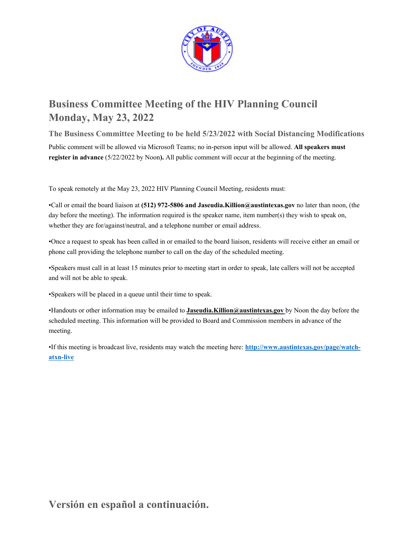

# **Business Committee Meeting of the HIV Planning Council Monday, May 23, 2022**

**The Business Committee Meeting to be held 5/23/2022 with Social Distancing Modifications**  Public comment will be allowed via Microsoft Teams; no in-person input will be allowed. **All speakers must register in advance**  $(5/22/2022$  by Noon). All public comment will occur at the beginning of the meeting.

To speak remotely at the May 23, 2022 HIV Planning Council Meeting, residents must:

•Call or email the board liaison at **(512) 972-5806 and Jaseudia.Killion@austintexas.gov** no later than noon, (the day before the meeting). The information required is the speaker name, item number(s) they wish to speak on, whether they are for/against/neutral, and a telephone number or email address.

•Once a request to speak has been called in or emailed to the board liaison, residents will receive either an email or phone call providing the telephone number to call on the day of the scheduled meeting.

•Speakers must call in at least 15 minutes prior to meeting start in order to speak, late callers will not be accepted and will not be able to speak.

•Speakers will be placed in a queue until their time to speak.

•Handouts or other information may be emailed to **Jaseudia.Killion@austintexas.gov** by Noon the day before the scheduled meeting. This information will be provided to Board and Commission members in advance of the meeting.

•If this meeting is broadcast live, residents may watch the meeting here: **http://www.austintexas.gov/page/watchatxn-live**

**Versión en español a continuación.**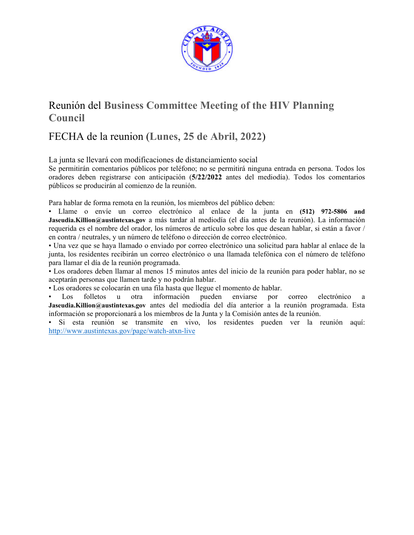

# Reunión del **Business Committee Meeting of the HIV Planning Council**

# FECHA de la reunion (**Lunes**, **25 de Abril, 2022**)

La junta se llevará con modificaciones de distanciamiento social

Se permitirán comentarios públicos por teléfono; no se permitirá ninguna entrada en persona. Todos los oradores deben registrarse con anticipación (**5/22/2022** antes del mediodía). Todos los comentarios públicos se producirán al comienzo de la reunión.

Para hablar de forma remota en la reunión, los miembros del público deben:

• Llame o envíe un correo electrónico al enlace de la junta en **(512) 972-5806 and Jaseudia.Killion@austintexas.gov** a más tardar al mediodía (el día antes de la reunión). La información requerida es el nombre del orador, los números de artículo sobre los que desean hablar, si están a favor / en contra / neutrales, y un número de teléfono o dirección de correo electrónico.

• Una vez que se haya llamado o enviado por correo electrónico una solicitud para hablar al enlace de la junta, los residentes recibirán un correo electrónico o una llamada telefónica con el número de teléfono para llamar el día de la reunión programada.

• Los oradores deben llamar al menos 15 minutos antes del inicio de la reunión para poder hablar, no se aceptarán personas que llamen tarde y no podrán hablar.

• Los oradores se colocarán en una fila hasta que llegue el momento de hablar.

Los folletos u otra información pueden enviarse por correo electrónico a **Jaseudia.Killion@austintexas.gov** antes del mediodía del día anterior a la reunión programada. Esta información se proporcionará a los miembros de la Junta y la Comisión antes de la reunión.

• Si esta reunión se transmite en vivo, los residentes pueden ver la reunión aquí: http://www.austintexas.gov/page/watch-atxn-live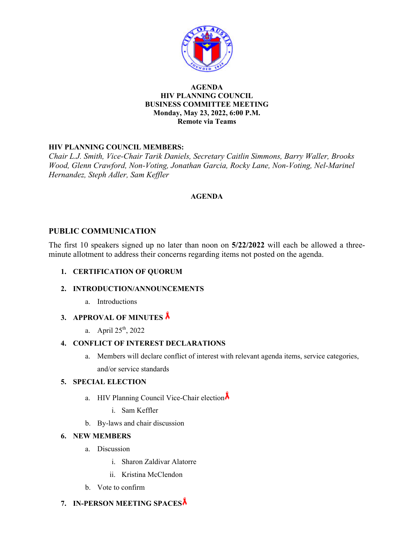

## **AGENDA HIV PLANNING COUNCIL BUSINESS COMMITTEE MEETING Monday, May 23, 2022, 6:00 P.M. Remote via Teams**

## **HIV PLANNING COUNCIL MEMBERS:**

*Chair L.J. Smith, Vice-Chair Tarik Daniels, Secretary Caitlin Simmons, Barry Waller, Brooks Wood, Glenn Crawford, Non-Voting, Jonathan Garcia, Rocky Lane, Non-Voting, Nel-Marinel Hernandez, Steph Adler, Sam Keffler* 

## **AGENDA**

## **PUBLIC COMMUNICATION**

The first 10 speakers signed up no later than noon on **5/22/2022** will each be allowed a threeminute allotment to address their concerns regarding items not posted on the agenda.

## **1. CERTIFICATION OF QUORUM**

### **2. INTRODUCTION/ANNOUNCEMENTS**

a. Introductions

## **3. APPROVAL OF MINUTES**

a. April  $25^{th}$ , 2022

### **4. CONFLICT OF INTEREST DECLARATIONS**

a. Members will declare conflict of interest with relevant agenda items, service categories, and/or service standards

### **5. SPECIAL ELECTION**

- a. HIV Planning Council Vice-Chair election
	- i. Sam Keffler
- b. By-laws and chair discussion

### **6. NEW MEMBERS**

- a. Discussion
	- i. Sharon Zaldivar Alatorre
	- ii. Kristina McClendon
- b. Vote to confirm

## **7. IN-PERSON MEETING SPACES**